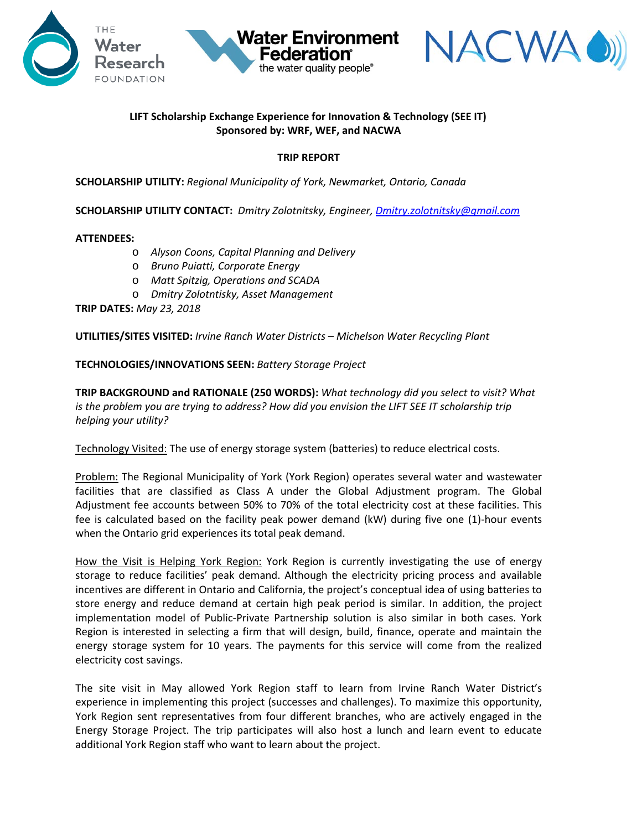



# **LIFT Scholarship Exchange Experience for Innovation & Technology (SEE IT) Sponsored by: WRF, WEF, and NACWA**

**Water Environment** 

Federation® the water quality people®

### **TRIP REPORT**

**SCHOLARSHIP UTILITY:** *Regional Municipality of York, Newmarket, Ontario, Canada* 

**SCHOLARSHIP UTILITY CONTACT:** *Dmitry Zolotnitsky, Engineer, [Dmitry.zolotnitsky@gmail.com](mailto:Dmitry.zolotnitsky@gmail.com)*

#### **ATTENDEES:**

- o *Alyson Coons, Capital Planning and Delivery*
- o *Bruno Puiatti, Corporate Energy*
- o *Matt Spitzig, Operations and SCADA*
- o *Dmitry Zolotntisky, Asset Management*

**TRIP DATES:** *May 23, 2018*

**UTILITIES/SITES VISITED:** *Irvine Ranch Water Districts – Michelson Water Recycling Plant*

**TECHNOLOGIES/INNOVATIONS SEEN:** *Battery Storage Project* 

**TRIP BACKGROUND and RATIONALE (250 WORDS):** *What technology did you select to visit? What is the problem you are trying to address? How did you envision the LIFT SEE IT scholarship trip helping your utility?* 

Technology Visited: The use of energy storage system (batteries) to reduce electrical costs.

Problem: The Regional Municipality of York (York Region) operates several water and wastewater facilities that are classified as Class A under the Global Adjustment program. The Global Adjustment fee accounts between 50% to 70% of the total electricity cost at these facilities. This fee is calculated based on the facility peak power demand (kW) during five one (1)-hour events when the Ontario grid experiences its total peak demand.

How the Visit is Helping York Region: York Region is currently investigating the use of energy storage to reduce facilities' peak demand. Although the electricity pricing process and available incentives are different in Ontario and California, the project's conceptual idea of using batteries to store energy and reduce demand at certain high peak period is similar. In addition, the project implementation model of Public-Private Partnership solution is also similar in both cases. York Region is interested in selecting a firm that will design, build, finance, operate and maintain the energy storage system for 10 years. The payments for this service will come from the realized electricity cost savings.

The site visit in May allowed York Region staff to learn from Irvine Ranch Water District's experience in implementing this project (successes and challenges). To maximize this opportunity, York Region sent representatives from four different branches, who are actively engaged in the Energy Storage Project. The trip participates will also host a lunch and learn event to educate additional York Region staff who want to learn about the project.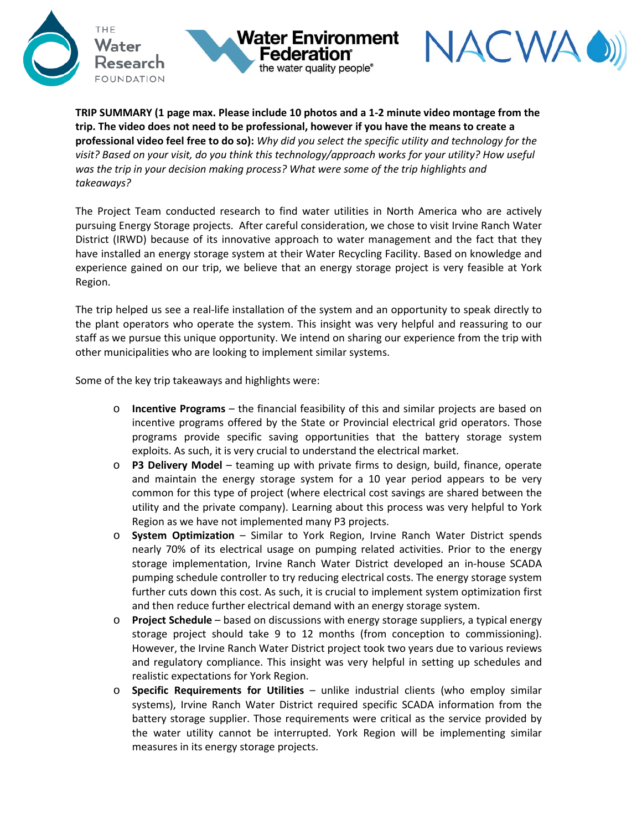





**TRIP SUMMARY (1 page max. Please include 10 photos and a 1-2 minute video montage from the trip. The video does not need to be professional, however if you have the means to create a professional video feel free to do so):** *Why did you select the specific utility and technology for the visit? Based on your visit, do you think this technology/approach works for your utility? How useful was the trip in your decision making process? What were some of the trip highlights and takeaways?* 

The Project Team conducted research to find water utilities in North America who are actively pursuing Energy Storage projects. After careful consideration, we chose to visit Irvine Ranch Water District (IRWD) because of its innovative approach to water management and the fact that they have installed an energy storage system at their Water Recycling Facility. Based on knowledge and experience gained on our trip, we believe that an energy storage project is very feasible at York Region.

The trip helped us see a real-life installation of the system and an opportunity to speak directly to the plant operators who operate the system. This insight was very helpful and reassuring to our staff as we pursue this unique opportunity. We intend on sharing our experience from the trip with other municipalities who are looking to implement similar systems.

Some of the key trip takeaways and highlights were:

- o **Incentive Programs** the financial feasibility of this and similar projects are based on incentive programs offered by the State or Provincial electrical grid operators. Those programs provide specific saving opportunities that the battery storage system exploits. As such, it is very crucial to understand the electrical market.
- o **P3 Delivery Model**  teaming up with private firms to design, build, finance, operate and maintain the energy storage system for a 10 year period appears to be very common for this type of project (where electrical cost savings are shared between the utility and the private company). Learning about this process was very helpful to York Region as we have not implemented many P3 projects.
- o **System Optimization** Similar to York Region, Irvine Ranch Water District spends nearly 70% of its electrical usage on pumping related activities. Prior to the energy storage implementation, Irvine Ranch Water District developed an in-house SCADA pumping schedule controller to try reducing electrical costs. The energy storage system further cuts down this cost. As such, it is crucial to implement system optimization first and then reduce further electrical demand with an energy storage system.
- o **Project Schedule** based on discussions with energy storage suppliers, a typical energy storage project should take 9 to 12 months (from conception to commissioning). However, the Irvine Ranch Water District project took two years due to various reviews and regulatory compliance. This insight was very helpful in setting up schedules and realistic expectations for York Region.
- o **Specific Requirements for Utilities**  unlike industrial clients (who employ similar systems), Irvine Ranch Water District required specific SCADA information from the battery storage supplier. Those requirements were critical as the service provided by the water utility cannot be interrupted. York Region will be implementing similar measures in its energy storage projects.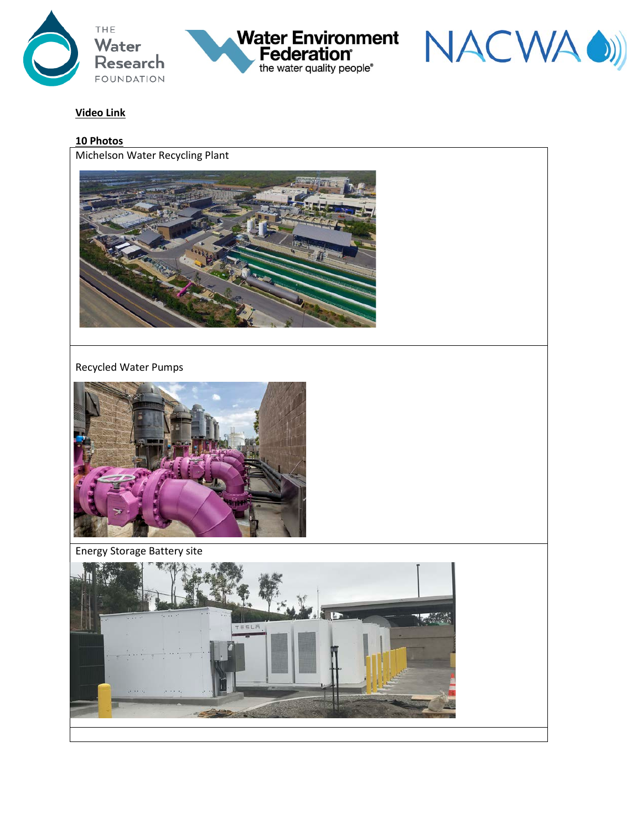





# **Video Link**

#### **10 Photos**

Michelson Water Recycling Plant



#### Recycled Water Pumps



Energy Storage Battery site

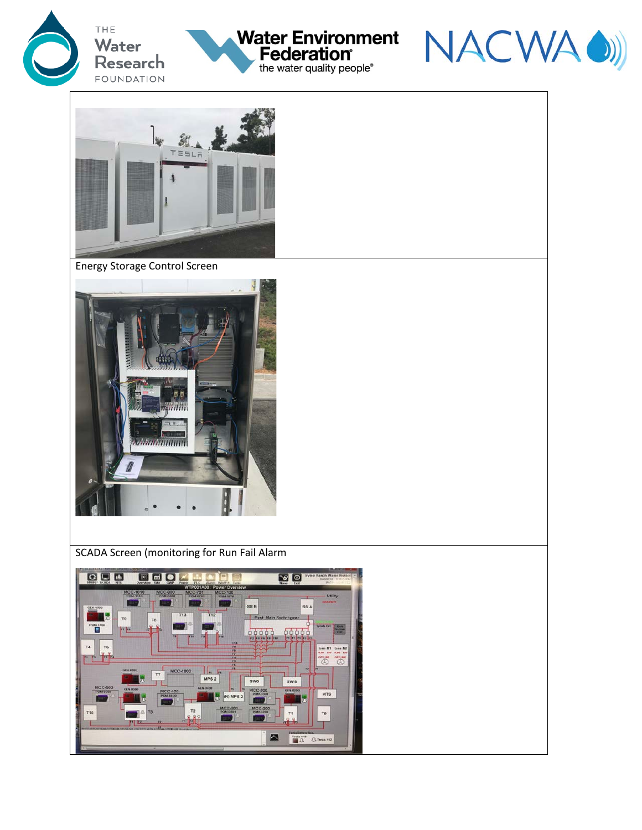







Energy Storage Control Screen



SCADA Screen (monitoring for Run Fail Alarm

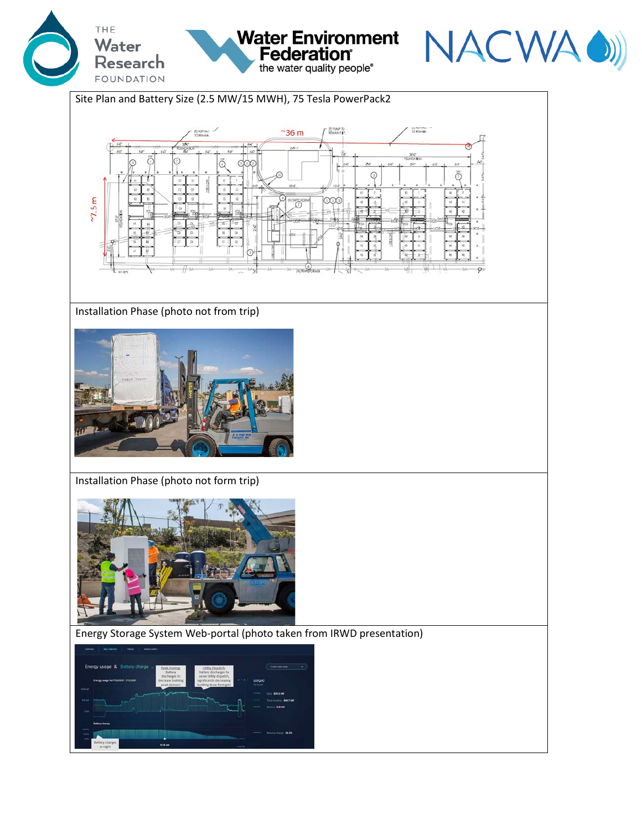



Site Plan and Battery Size (2.5 MW/15 MWH), 75 Tesla PowerPack2



Water Environment<br>Federation

the water quality people®

## Installation Phase (photo not from trip)



Installation Phase (photo not form trip)



## Energy Storage System Web-portal (photo taken from IRWD presentation)